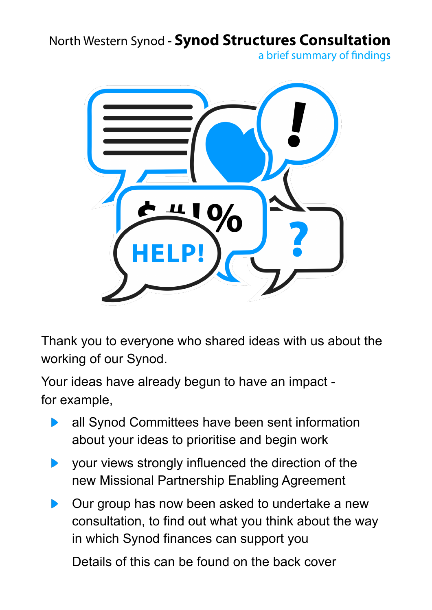North Western Synod **- Synod Structures Consultation**

a brief summary of findings



Thank you to everyone who shared ideas with us about the working of our Synod.

Your ideas have already begun to have an impact for example,

- all Synod Committees have been sent information about your ideas to prioritise and begin work
- your views strongly influenced the direction of the new Missional Partnership Enabling Agreement
- Our group has now been asked to undertake a new consultation, to find out what you think about the way in which Synod finances can support you

Details of this can be found on the back cover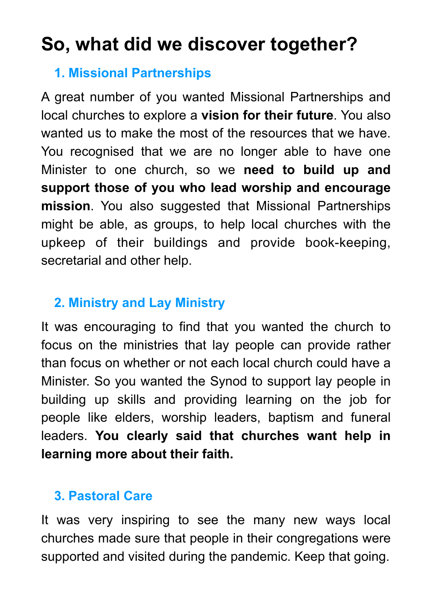# **So, what did we discover together?**

## **1. Missional Partnerships**

A great number of you wanted Missional Partnerships and local churches to explore a **vision for their future**. You also wanted us to make the most of the resources that we have. You recognised that we are no longer able to have one Minister to one church, so we **need to build up and support those of you who lead worship and encourage mission**. You also suggested that Missional Partnerships might be able, as groups, to help local churches with the upkeep of their buildings and provide book-keeping, secretarial and other help.

## **2. Ministry and Lay Ministry**

It was encouraging to find that you wanted the church to focus on the ministries that lay people can provide rather than focus on whether or not each local church could have a Minister. So you wanted the Synod to support lay people in building up skills and providing learning on the job for people like elders, worship leaders, baptism and funeral leaders. **You clearly said that churches want help in learning more about their faith.** 

## **3. Pastoral Care**

It was very inspiring to see the many new ways local churches made sure that people in their congregations were supported and visited during the pandemic. Keep that going.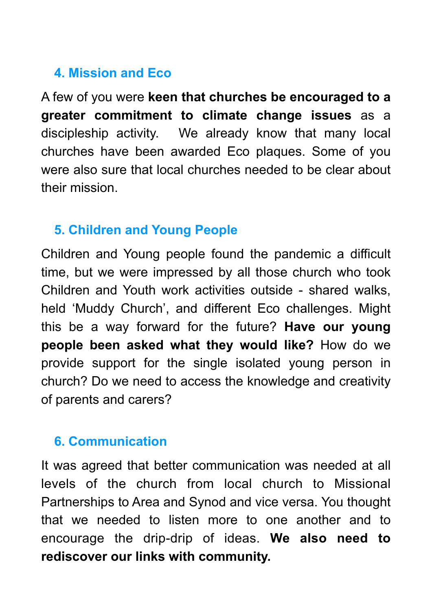# **4. Mission and Eco**

A few of you were **keen that churches be encouraged to a greater commitment to climate change issues** as a discipleship activity. We already know that many local churches have been awarded Eco plaques. Some of you were also sure that local churches needed to be clear about their mission.

#### **5. Children and Young People**

Children and Young people found the pandemic a difficult time, but we were impressed by all those church who took Children and Youth work activities outside - shared walks, held 'Muddy Church', and different Eco challenges. Might this be a way forward for the future? **Have our young people been asked what they would like?** How do we provide support for the single isolated young person in church? Do we need to access the knowledge and creativity of parents and carers?

#### **6. Communication**

It was agreed that better communication was needed at all levels of the church from local church to Missional Partnerships to Area and Synod and vice versa. You thought that we needed to listen more to one another and to encourage the drip-drip of ideas. **We also need to rediscover our links with community.**